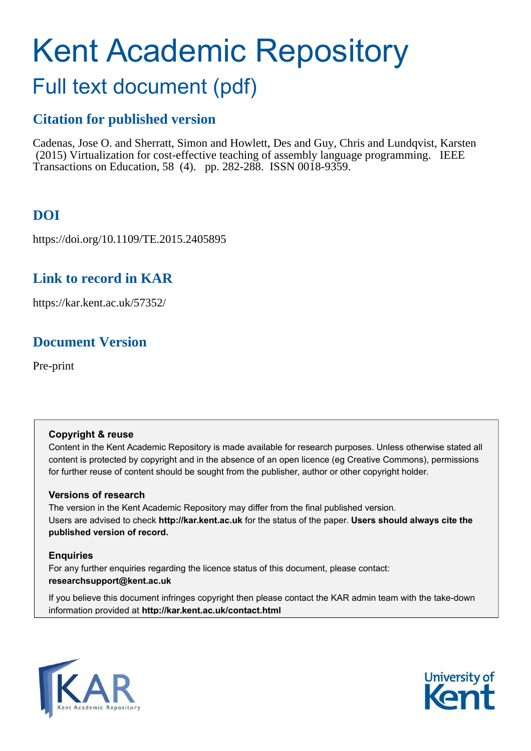# Kent Academic Repository

# Full text document (pdf)

### **Citation for published version**

Cadenas, Jose O. and Sherratt, Simon and Howlett, Des and Guy, Chris and Lundqvist, Karsten (2015) Virtualization for cost-effective teaching of assembly language programming. IEEE Transactions on Education, 58 (4). pp. 282-288. ISSN 0018-9359.

# **DOI**

https://doi.org/10.1109/TE.2015.2405895

### **Link to record in KAR**

https://kar.kent.ac.uk/57352/

# **Document Version**

Pre-print

#### **Copyright & reuse**

Content in the Kent Academic Repository is made available for research purposes. Unless otherwise stated all content is protected by copyright and in the absence of an open licence (eg Creative Commons), permissions for further reuse of content should be sought from the publisher, author or other copyright holder.

#### **Versions of research**

The version in the Kent Academic Repository may differ from the final published version. Users are advised to check **http://kar.kent.ac.uk** for the status of the paper. **Users should always cite the published version of record.**

#### **Enquiries**

For any further enquiries regarding the licence status of this document, please contact: **researchsupport@kent.ac.uk**

If you believe this document infringes copyright then please contact the KAR admin team with the take-down information provided at **http://kar.kent.ac.uk/contact.html**



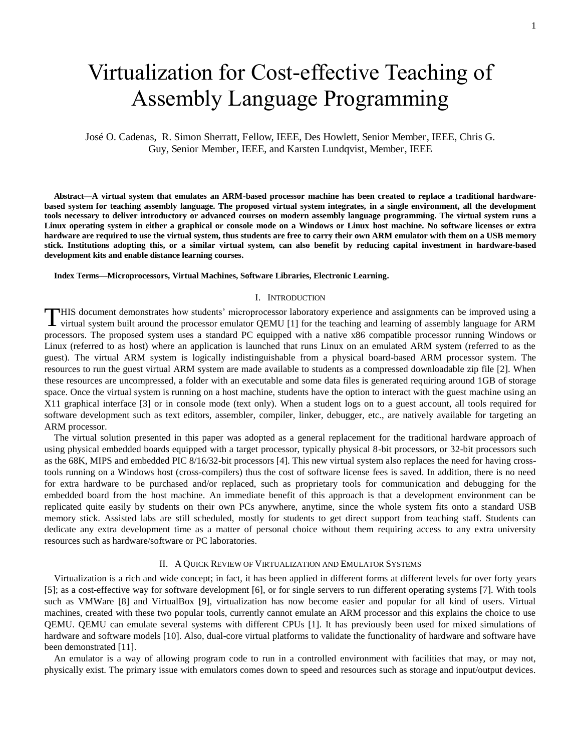# Virtualization for Cost-effective Teaching of Assembly Language Programming

José O. Cadenas, R. Simon Sherratt, Fellow, IEEE, Des Howlett, Senior Member, IEEE, Chris G. Guy, Senior Member, IEEE, and Karsten Lundqvist, Member, IEEE

**Abstract—A virtual system that emulates an ARM-based processor machine has been created to replace a traditional hardwarebased system for teaching assembly language. The proposed virtual system integrates, in a single environment, all the development tools necessary to deliver introductory or advanced courses on modern assembly language programming. The virtual system runs a Linux operating system in either a graphical or console mode on a Windows or Linux host machine. No software licenses or extra hardware are required to use the virtual system, thus students are free to carry their own ARM emulator with them on a USB memory stick. Institutions adopting this, or a similar virtual system, can also benefit by reducing capital investment in hardware-based development kits and enable distance learning courses.** 

#### **Index Terms—Microprocessors, Virtual Machines, Software Libraries, Electronic Learning.**

#### I. INTRODUCTION

HIS document demonstrates how students' microprocessor laboratory experience and assignments can be improved using a THIS document demonstrates how students' microprocessor laboratory experience and assignments can be improved using a virtual system built around the processor emulator QEMU [1] for the teaching and learning of assembly la processors. The proposed system uses a standard PC equipped with a native x86 compatible processor running Windows or Linux (referred to as host) where an application is launched that runs Linux on an emulated ARM system (referred to as the guest). The virtual ARM system is logically indistinguishable from a physical board-based ARM processor system. The resources to run the guest virtual ARM system are made available to students as a compressed downloadable zip file [2]. When these resources are uncompressed, a folder with an executable and some data files is generated requiring around 1GB of storage space. Once the virtual system is running on a host machine, students have the option to interact with the guest machine using an X11 graphical interface [3] or in console mode (text only). When a student logs on to a guest account, all tools required for software development such as text editors, assembler, compiler, linker, debugger, etc., are natively available for targeting an ARM processor.

The virtual solution presented in this paper was adopted as a general replacement for the traditional hardware approach of using physical embedded boards equipped with a target processor, typically physical 8-bit processors, or 32-bit processors such as the 68K, MIPS and embedded PIC 8/16/32-bit processors [4]. This new virtual system also replaces the need for having crosstools running on a Windows host (cross-compilers) thus the cost of software license fees is saved. In addition, there is no need for extra hardware to be purchased and/or replaced, such as proprietary tools for communication and debugging for the embedded board from the host machine. An immediate benefit of this approach is that a development environment can be replicated quite easily by students on their own PCs anywhere, anytime, since the whole system fits onto a standard USB memory stick. Assisted labs are still scheduled, mostly for students to get direct support from teaching staff. Students can dedicate any extra development time as a matter of personal choice without them requiring access to any extra university resources such as hardware/software or PC laboratories.

#### II. A QUICK REVIEW OF VIRTUALIZATION AND EMULATOR SYSTEMS

Virtualization is a rich and wide concept; in fact, it has been applied in different forms at different levels for over forty years [5]; as a cost-effective way for software development [6], or for single servers to run different operating systems [7]. With tools such as VMWare [8] and VirtualBox [9], virtualization has now become easier and popular for all kind of users. Virtual machines, created with these two popular tools, currently cannot emulate an ARM processor and this explains the choice to use QEMU. QEMU can emulate several systems with different CPUs [1]. It has previously been used for mixed simulations of hardware and software models [10]. Also, dual-core virtual platforms to validate the functionality of hardware and software have been demonstrated [11].

An emulator is a way of allowing program code to run in a controlled environment with facilities that may, or may not, physically exist. The primary issue with emulators comes down to speed and resources such as storage and input/output devices.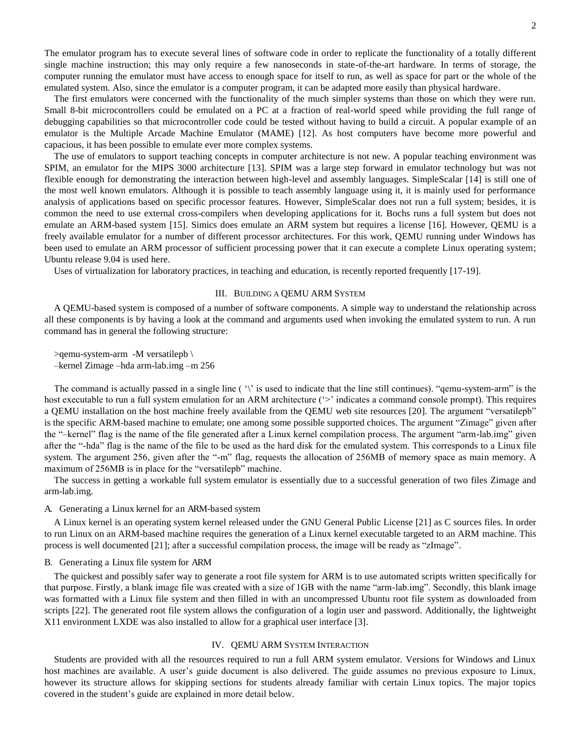The emulator program has to execute several lines of software code in order to replicate the functionality of a totally different single machine instruction; this may only require a few nanoseconds in state-of-the-art hardware. In terms of storage, the computer running the emulator must have access to enough space for itself to run, as well as space for part or the whole of the emulated system. Also, since the emulator is a computer program, it can be adapted more easily than physical hardware.

The first emulators were concerned with the functionality of the much simpler systems than those on which they were run. Small 8-bit microcontrollers could be emulated on a PC at a fraction of real-world speed while providing the full range of debugging capabilities so that microcontroller code could be tested without having to build a circuit. A popular example of an emulator is the Multiple Arcade Machine Emulator (MAME) [12]. As host computers have become more powerful and capacious, it has been possible to emulate ever more complex systems.

The use of emulators to support teaching concepts in computer architecture is not new. A popular teaching environment was SPIM, an emulator for the MIPS 3000 architecture [13]. SPIM was a large step forward in emulator technology but was not flexible enough for demonstrating the interaction between high-level and assembly languages. SimpleScalar [14] is still one of the most well known emulators. Although it is possible to teach assembly language using it, it is mainly used for performance analysis of applications based on specific processor features. However, SimpleScalar does not run a full system; besides, it is common the need to use external cross-compilers when developing applications for it. Bochs runs a full system but does not emulate an ARM-based system [15]. Simics does emulate an ARM system but requires a license [16]. However, QEMU is a freely available emulator for a number of different processor architectures. For this work, QEMU running under Windows has been used to emulate an ARM processor of sufficient processing power that it can execute a complete Linux operating system; Ubuntu release 9.04 is used here.

Uses of virtualization for laboratory practices, in teaching and education, is recently reported frequently [17-19].

#### III. BUILDING A QEMU ARM SYSTEM

A QEMU-based system is composed of a number of software components. A simple way to understand the relationship across all these components is by having a look at the command and arguments used when invoking the emulated system to run. A run command has in general the following structure:

>qemu-system-arm -M versatilepb \ –kernel Zimage –hda arm-lab.img –m 256

The command is actually passed in a single line  $(\cdot)$  is used to indicate that the line still continues). "qemu-system-arm" is the host executable to run a full system emulation for an ARM architecture ('>' indicates a command console prompt). This requires a QEMU installation on the host machine freely available from the QEMU web site resources [20]. The argument "versatilepb" is the specific ARM-based machine to emulate; one among some possible supported choices. The argument "Zimage" given after the "–kernel" flag is the name of the file generated after a Linux kernel compilation process. The argument "arm-lab.img" given after the "-hda" flag is the name of the file to be used as the hard disk for the emulated system. This corresponds to a Linux file system. The argument 256, given after the "-m" flag, requests the allocation of 256MB of memory space as main memory. A maximum of 256MB is in place for the "versatilepb" machine.

The success in getting a workable full system emulator is essentially due to a successful generation of two files Zimage and arm-lab.img.

#### A. Generating a Linux kernel for an ARM-based system

A Linux kernel is an operating system kernel released under the GNU General Public License [21] as C sources files. In order to run Linux on an ARM-based machine requires the generation of a Linux kernel executable targeted to an ARM machine. This process is well documented [21]; after a successful compilation process, the image will be ready as "zImage".

#### B. Generating a Linux file system for ARM

The quickest and possibly safer way to generate a root file system for ARM is to use automated scripts written specifically for that purpose. Firstly, a blank image file was created with a size of 1GB with the name "arm-lab.img". Secondly, this blank image was formatted with a Linux file system and then filled in with an uncompressed Ubuntu root file system as downloaded from scripts [22]. The generated root file system allows the configuration of a login user and password. Additionally, the lightweight X11 environment LXDE was also installed to allow for a graphical user interface [3].

#### IV. QEMU ARM SYSTEM INTERACTION

Students are provided with all the resources required to run a full ARM system emulator. Versions for Windows and Linux host machines are available. A user's guide document is also delivered. The guide assumes no previous exposure to Linux, however its structure allows for skipping sections for students already familiar with certain Linux topics. The major topics covered in the student's guide are explained in more detail below.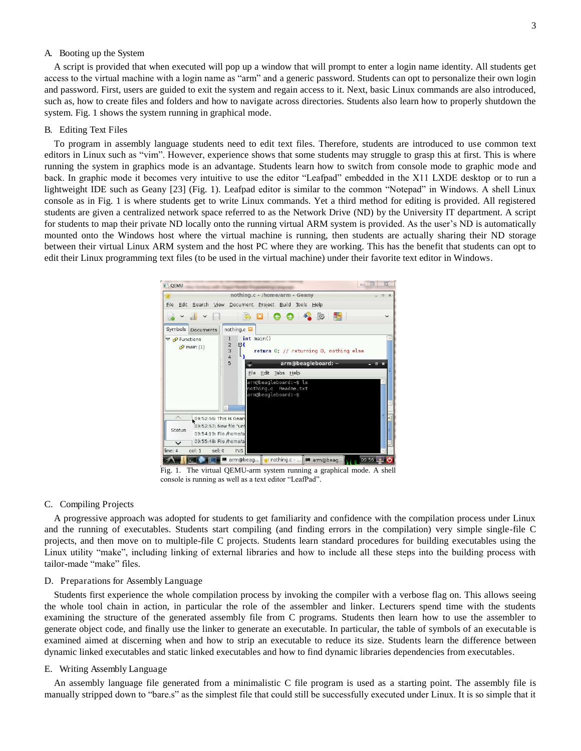#### A. Booting up the System

A script is provided that when executed will pop up a window that will prompt to enter a login name identity. All students get access to the virtual machine with a login name as "arm" and a generic password. Students can opt to personalize their own login and password. First, users are guided to exit the system and regain access to it. Next, basic Linux commands are also introduced, such as, how to create files and folders and how to navigate across directories. Students also learn how to properly shutdown the system. Fig. 1 shows the system running in graphical mode.

#### B. Editing Text Files

To program in assembly language students need to edit text files. Therefore, students are introduced to use common text editors in Linux such as "vim". However, experience shows that some students may struggle to grasp this at first. This is where running the system in graphics mode is an advantage. Students learn how to switch from console mode to graphic mode and back. In graphic mode it becomes very intuitive to use the editor "Leafpad" embedded in the X11 LXDE desktop or to run a lightweight IDE such as Geany [23] (Fig. 1). Leafpad editor is similar to the common "Notepad" in Windows. A shell Linux console as in Fig. 1 is where students get to write Linux commands. Yet a third method for editing is provided. All registered students are given a centralized network space referred to as the Network Drive (ND) by the University IT department. A script for students to map their private ND locally onto the running virtual ARM system is provided. As the user's ND is automatically mounted onto the Windows host where the virtual machine is running, then students are actually sharing their ND storage between their virtual Linux ARM system and the host PC where they are working. This has the benefit that students can opt to edit their Linux programming text files (to be used in the virtual machine) under their favorite text editor in Windows.



Fig. 1. The virtual QEMU-arm system running a graphical mode. A shell console is running as well as a text editor "LeafPad".

#### C. Compiling Projects

A progressive approach was adopted for students to get familiarity and confidence with the compilation process under Linux and the running of executables. Students start compiling (and finding errors in the compilation) very simple single-file C projects, and then move on to multiple-file C projects. Students learn standard procedures for building executables using the Linux utility "make", including linking of external libraries and how to include all these steps into the building process with tailor-made "make" files.

#### D. Preparations for Assembly Language

Students first experience the whole compilation process by invoking the compiler with a verbose flag on. This allows seeing the whole tool chain in action, in particular the role of the assembler and linker. Lecturers spend time with the students examining the structure of the generated assembly file from C programs. Students then learn how to use the assembler to generate object code, and finally use the linker to generate an executable. In particular, the table of symbols of an executable is examined aimed at discerning when and how to strip an executable to reduce its size. Students learn the difference between dynamic linked executables and static linked executables and how to find dynamic libraries dependencies from executables.

#### E. Writing Assembly Language

An assembly language file generated from a minimalistic C file program is used as a starting point. The assembly file is manually stripped down to "bare.s" as the simplest file that could still be successfully executed under Linux. It is so simple that it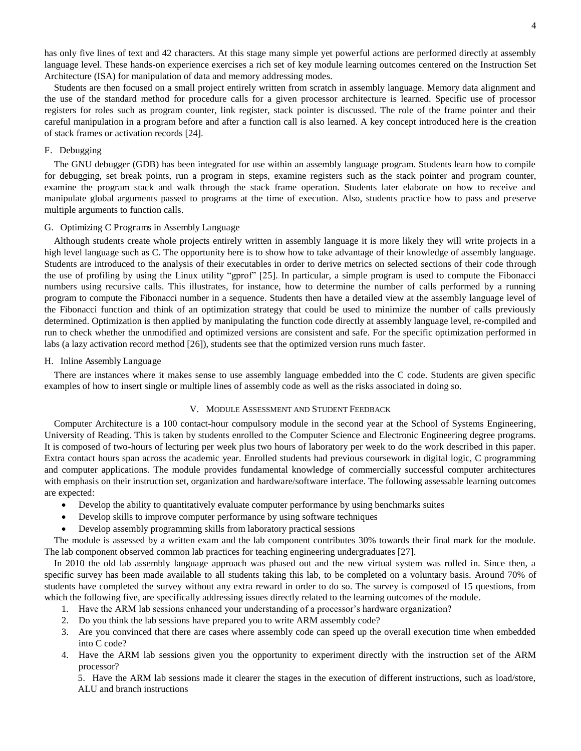has only five lines of text and 42 characters. At this stage many simple yet powerful actions are performed directly at assembly language level. These hands-on experience exercises a rich set of key module learning outcomes centered on the Instruction Set Architecture (ISA) for manipulation of data and memory addressing modes.

Students are then focused on a small project entirely written from scratch in assembly language. Memory data alignment and the use of the standard method for procedure calls for a given processor architecture is learned. Specific use of processor registers for roles such as program counter, link register, stack pointer is discussed. The role of the frame pointer and their careful manipulation in a program before and after a function call is also learned. A key concept introduced here is the creation of stack frames or activation records [24].

#### F. Debugging

The GNU debugger (GDB) has been integrated for use within an assembly language program. Students learn how to compile for debugging, set break points, run a program in steps, examine registers such as the stack pointer and program counter, examine the program stack and walk through the stack frame operation. Students later elaborate on how to receive and manipulate global arguments passed to programs at the time of execution. Also, students practice how to pass and preserve multiple arguments to function calls.

#### G. Optimizing C Programs in Assembly Language

Although students create whole projects entirely written in assembly language it is more likely they will write projects in a high level language such as C. The opportunity here is to show how to take advantage of their knowledge of assembly language. Students are introduced to the analysis of their executables in order to derive metrics on selected sections of their code through the use of profiling by using the Linux utility "gprof" [25]. In particular, a simple program is used to compute the Fibonacci numbers using recursive calls. This illustrates, for instance, how to determine the number of calls performed by a running program to compute the Fibonacci number in a sequence. Students then have a detailed view at the assembly language level of the Fibonacci function and think of an optimization strategy that could be used to minimize the number of calls previously determined. Optimization is then applied by manipulating the function code directly at assembly language level, re-compiled and run to check whether the unmodified and optimized versions are consistent and safe. For the specific optimization performed in labs (a lazy activation record method [26]), students see that the optimized version runs much faster.

#### H. Inline Assembly Language

There are instances where it makes sense to use assembly language embedded into the C code. Students are given specific examples of how to insert single or multiple lines of assembly code as well as the risks associated in doing so.

#### V. MODULE ASSESSMENT AND STUDENT FEEDBACK

Computer Architecture is a 100 contact-hour compulsory module in the second year at the School of Systems Engineering, University of Reading. This is taken by students enrolled to the Computer Science and Electronic Engineering degree programs. It is composed of two-hours of lecturing per week plus two hours of laboratory per week to do the work described in this paper. Extra contact hours span across the academic year. Enrolled students had previous coursework in digital logic, C programming and computer applications. The module provides fundamental knowledge of commercially successful computer architectures with emphasis on their instruction set, organization and hardware/software interface. The following assessable learning outcomes are expected:

- Develop the ability to quantitatively evaluate computer performance by using benchmarks suites
- Develop skills to improve computer performance by using software techniques
- Develop assembly programming skills from laboratory practical sessions

The module is assessed by a written exam and the lab component contributes 30% towards their final mark for the module. The lab component observed common lab practices for teaching engineering undergraduates [27].

In 2010 the old lab assembly language approach was phased out and the new virtual system was rolled in. Since then, a specific survey has been made available to all students taking this lab, to be completed on a voluntary basis. Around 70% of students have completed the survey without any extra reward in order to do so. The survey is composed of 15 questions, from which the following five, are specifically addressing issues directly related to the learning outcomes of the module.

- 1. Have the ARM lab sessions enhanced your understanding of a processor's hardware organization?
- 2. Do you think the lab sessions have prepared you to write ARM assembly code?
- 3. Are you convinced that there are cases where assembly code can speed up the overall execution time when embedded into C code?
- 4. Have the ARM lab sessions given you the opportunity to experiment directly with the instruction set of the ARM processor?

5. Have the ARM lab sessions made it clearer the stages in the execution of different instructions, such as load/store, ALU and branch instructions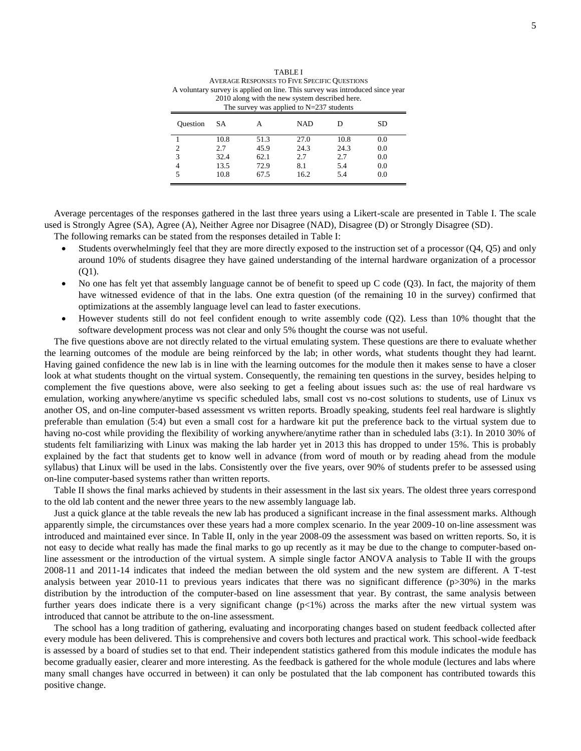| A VERAGE INESTORSES TO I TVE SI ECIPIC QUESTIORS<br>A voluntary survey is applied on line. This survey was introduced since year<br>2010 along with the new system described here.<br>The survey was applied to $N=237$ students |      |      |            |      |     |  |  |  |  |
|----------------------------------------------------------------------------------------------------------------------------------------------------------------------------------------------------------------------------------|------|------|------------|------|-----|--|--|--|--|
| <b>Ouestion</b>                                                                                                                                                                                                                  | SA   | А    | <b>NAD</b> |      | SD  |  |  |  |  |
|                                                                                                                                                                                                                                  | 10.8 | 51.3 | 27.0       | 10.8 | 0.0 |  |  |  |  |
| 2                                                                                                                                                                                                                                | 2.7  | 45.9 | 24.3       | 24.3 | 0.0 |  |  |  |  |
| 3                                                                                                                                                                                                                                | 32.4 | 62.1 | 2.7        | 2.7  | 0.0 |  |  |  |  |
| 4                                                                                                                                                                                                                                | 13.5 | 72.9 | 8.1        | 5.4  | 0.0 |  |  |  |  |
|                                                                                                                                                                                                                                  | 10.8 | 67.5 | 16.2       | 5.4  | 0.0 |  |  |  |  |

TABLE I AVERAGE RESPONSES TO FIVE SPECIFIC QUESTIONS

Average percentages of the responses gathered in the last three years using a Likert-scale are presented in Table I. The scale used is Strongly Agree (SA), Agree (A), Neither Agree nor Disagree (NAD), Disagree (D) or Strongly Disagree (SD). The following remarks can be stated from the responses detailed in Table I:

- Students overwhelmingly feel that they are more directly exposed to the instruction set of a processor (Q4, Q5) and only around 10% of students disagree they have gained understanding of the internal hardware organization of a processor (Q1).
- No one has felt yet that assembly language cannot be of benefit to speed up  $C$  code  $(Q3)$ . In fact, the majority of them have witnessed evidence of that in the labs. One extra question (of the remaining 10 in the survey) confirmed that optimizations at the assembly language level can lead to faster executions.
- However students still do not feel confident enough to write assembly code (Q2). Less than 10% thought that the software development process was not clear and only 5% thought the course was not useful.

The five questions above are not directly related to the virtual emulating system. These questions are there to evaluate whether the learning outcomes of the module are being reinforced by the lab; in other words, what students thought they had learnt. Having gained confidence the new lab is in line with the learning outcomes for the module then it makes sense to have a closer look at what students thought on the virtual system. Consequently, the remaining ten questions in the survey, besides helping to complement the five questions above, were also seeking to get a feeling about issues such as: the use of real hardware vs emulation, working anywhere/anytime vs specific scheduled labs, small cost vs no-cost solutions to students, use of Linux vs another OS, and on-line computer-based assessment vs written reports. Broadly speaking, students feel real hardware is slightly preferable than emulation (5:4) but even a small cost for a hardware kit put the preference back to the virtual system due to having no-cost while providing the flexibility of working anywhere/anytime rather than in scheduled labs (3:1). In 2010 30% of students felt familiarizing with Linux was making the lab harder yet in 2013 this has dropped to under 15%. This is probably explained by the fact that students get to know well in advance (from word of mouth or by reading ahead from the module syllabus) that Linux will be used in the labs. Consistently over the five years, over 90% of students prefer to be assessed using on-line computer-based systems rather than written reports.

Table II shows the final marks achieved by students in their assessment in the last six years. The oldest three years correspond to the old lab content and the newer three years to the new assembly language lab.

Just a quick glance at the table reveals the new lab has produced a significant increase in the final assessment marks. Although apparently simple, the circumstances over these years had a more complex scenario. In the year 2009-10 on-line assessment was introduced and maintained ever since. In Table II, only in the year 2008-09 the assessment was based on written reports. So, it is not easy to decide what really has made the final marks to go up recently as it may be due to the change to computer-based online assessment or the introduction of the virtual system. A simple single factor ANOVA analysis to Table II with the groups 2008-11 and 2011-14 indicates that indeed the median between the old system and the new system are different. A T-test analysis between year 2010-11 to previous years indicates that there was no significant difference (p>30%) in the marks distribution by the introduction of the computer-based on line assessment that year. By contrast, the same analysis between further years does indicate there is a very significant change  $(p<1%)$  across the marks after the new virtual system was introduced that cannot be attribute to the on-line assessment.

The school has a long tradition of gathering, evaluating and incorporating changes based on student feedback collected after every module has been delivered. This is comprehensive and covers both lectures and practical work. This school-wide feedback is assessed by a board of studies set to that end. Their independent statistics gathered from this module indicates the module has become gradually easier, clearer and more interesting. As the feedback is gathered for the whole module (lectures and labs where many small changes have occurred in between) it can only be postulated that the lab component has contributed towards this positive change.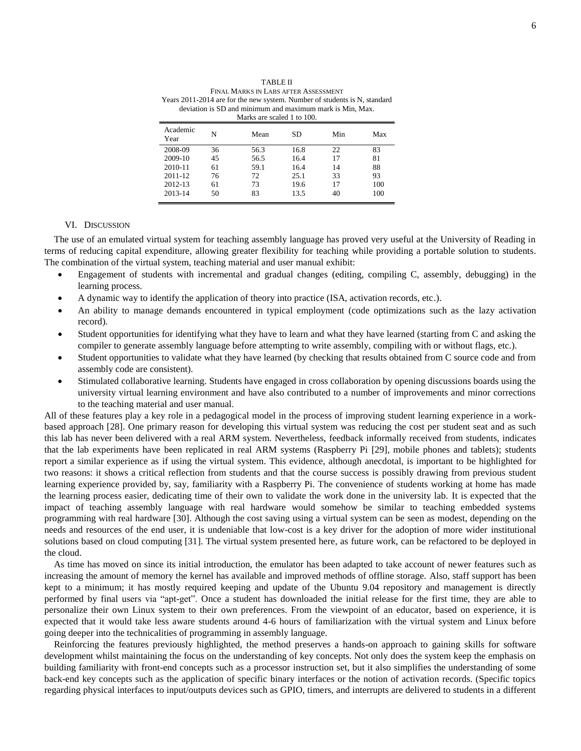| FINAL MARKS IN LABS AFTER ASSESSMENT<br>Years 2011-2014 are for the new system. Number of students is N, standard<br>deviation is SD and minimum and maximum mark is Min, Max.<br>Marks are scaled 1 to 100. |    |      |      |     |     |  |  |  |  |
|--------------------------------------------------------------------------------------------------------------------------------------------------------------------------------------------------------------|----|------|------|-----|-----|--|--|--|--|
| Academic<br>Year                                                                                                                                                                                             | N  | Mean | SD   | Min | Max |  |  |  |  |
| 2008-09                                                                                                                                                                                                      | 36 | 56.3 | 16.8 | 22. | 83  |  |  |  |  |
| 2009-10                                                                                                                                                                                                      | 45 | 56.5 | 16.4 | 17  | 81  |  |  |  |  |
| 2010-11                                                                                                                                                                                                      | 61 | 59.1 | 16.4 | 14  | 88  |  |  |  |  |
| 2011-12                                                                                                                                                                                                      | 76 | 72   | 25.1 | 33  | 93  |  |  |  |  |
| 2012-13                                                                                                                                                                                                      | 61 | 73   | 19.6 | 17  | 100 |  |  |  |  |
| 2013-14                                                                                                                                                                                                      | 50 | 83   | 13.5 | 40  | 100 |  |  |  |  |

TABLE II

#### VI. DISCUSSION

The use of an emulated virtual system for teaching assembly language has proved very useful at the University of Reading in terms of reducing capital expenditure, allowing greater flexibility for teaching while providing a portable solution to students. The combination of the virtual system, teaching material and user manual exhibit:

- Engagement of students with incremental and gradual changes (editing, compiling C, assembly, debugging) in the learning process.
- A dynamic way to identify the application of theory into practice (ISA, activation records, etc.).
- An ability to manage demands encountered in typical employment (code optimizations such as the lazy activation record).
- Student opportunities for identifying what they have to learn and what they have learned (starting from C and asking the compiler to generate assembly language before attempting to write assembly, compiling with or without flags, etc.).
- Student opportunities to validate what they have learned (by checking that results obtained from C source code and from assembly code are consistent).
- Stimulated collaborative learning. Students have engaged in cross collaboration by opening discussions boards using the university virtual learning environment and have also contributed to a number of improvements and minor corrections to the teaching material and user manual.

All of these features play a key role in a pedagogical model in the process of improving student learning experience in a workbased approach [28]. One primary reason for developing this virtual system was reducing the cost per student seat and as such this lab has never been delivered with a real ARM system. Nevertheless, feedback informally received from students, indicates that the lab experiments have been replicated in real ARM systems (Raspberry Pi [29], mobile phones and tablets); students report a similar experience as if using the virtual system. This evidence, although anecdotal, is important to be highlighted for two reasons: it shows a critical reflection from students and that the course success is possibly drawing from previous student learning experience provided by, say, familiarity with a Raspberry Pi. The convenience of students working at home has made the learning process easier, dedicating time of their own to validate the work done in the university lab. It is expected that the impact of teaching assembly language with real hardware would somehow be similar to teaching embedded systems programming with real hardware [30]. Although the cost saving using a virtual system can be seen as modest, depending on the needs and resources of the end user, it is undeniable that low-cost is a key driver for the adoption of more wider institutional solutions based on cloud computing [31]. The virtual system presented here, as future work, can be refactored to be deployed in the cloud.

As time has moved on since its initial introduction, the emulator has been adapted to take account of newer features such as increasing the amount of memory the kernel has available and improved methods of offline storage. Also, staff support has been kept to a minimum; it has mostly required keeping and update of the Ubuntu 9.04 repository and management is directly performed by final users via "apt-get". Once a student has downloaded the initial release for the first time, they are able to personalize their own Linux system to their own preferences. From the viewpoint of an educator, based on experience, it is expected that it would take less aware students around 4-6 hours of familiarization with the virtual system and Linux before going deeper into the technicalities of programming in assembly language.

Reinforcing the features previously highlighted, the method preserves a hands-on approach to gaining skills for software development whilst maintaining the focus on the understanding of key concepts. Not only does the system keep the emphasis on building familiarity with front-end concepts such as a processor instruction set, but it also simplifies the understanding of some back-end key concepts such as the application of specific binary interfaces or the notion of activation records. (Specific topics regarding physical interfaces to input/outputs devices such as GPIO, timers, and interrupts are delivered to students in a different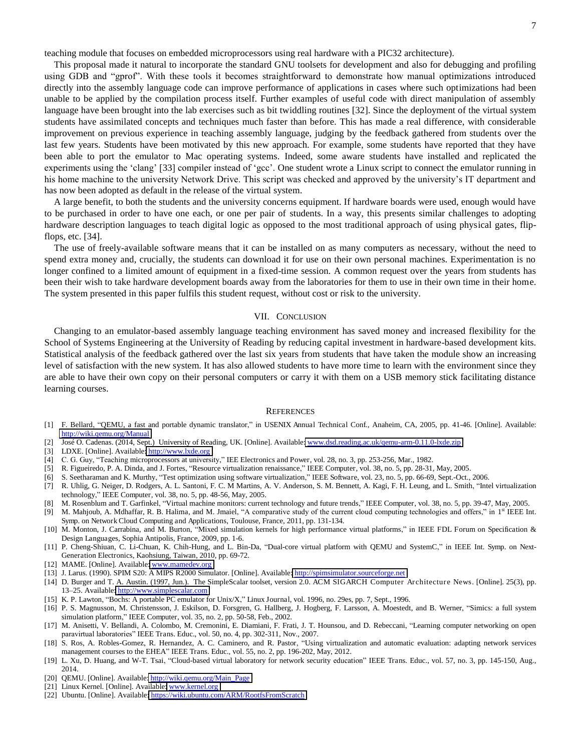teaching module that focuses on embedded microprocessors using real hardware with a PIC32 architecture).

This proposal made it natural to incorporate the standard GNU toolsets for development and also for debugging and profiling using GDB and "gprof". With these tools it becomes straightforward to demonstrate how manual optimizations introduced directly into the assembly language code can improve performance of applications in cases where such optimizations had been unable to be applied by the compilation process itself. Further examples of useful code with direct manipulation of assembly language have been brought into the lab exercises such as bit twiddling routines [32]. Since the deployment of the virtual system students have assimilated concepts and techniques much faster than before. This has made a real difference, with considerable improvement on previous experience in teaching assembly language, judging by the feedback gathered from students over the last few years. Students have been motivated by this new approach. For example, some students have reported that they have been able to port the emulator to Mac operating systems. Indeed, some aware students have installed and replicated the experiments using the 'clang' [33] compiler instead of 'gcc'. One student wrote a Linux script to connect the emulator running in his home machine to the university Network Drive. This script was checked and approved by the university's IT department and has now been adopted as default in the release of the virtual system.

A large benefit, to both the students and the university concerns equipment. If hardware boards were used, enough would have to be purchased in order to have one each, or one per pair of students. In a way, this presents similar challenges to adopting hardware description languages to teach digital logic as opposed to the most traditional approach of using physical gates, flipflops, etc. [34].

The use of freely-available software means that it can be installed on as many computers as necessary, without the need to spend extra money and, crucially, the students can download it for use on their own personal machines. Experimentation is no longer confined to a limited amount of equipment in a fixed-time session. A common request over the years from students has been their wish to take hardware development boards away from the laboratories for them to use in their own time in their home. The system presented in this paper fulfils this student request, without cost or risk to the university.

#### VII. CONCLUSION

Changing to an emulator-based assembly language teaching environment has saved money and increased flexibility for the School of Systems Engineering at the University of Reading by reducing capital investment in hardware-based development kits. Statistical analysis of the feedback gathered over the last six years from students that have taken the module show an increasing level of satisfaction with the new system. It has also allowed students to have more time to learn with the environment since they are able to have their own copy on their personal computers or carry it with them on a USB memory stick facilitating distance learning courses.

#### **REFERENCES**

- [1] F. Bellard, "QEMU, a fast and portable dynamic translator," in USENIX Annual Technical Conf., Anaheim, CA, 2005, pp. 41-46. [Online]. Available: <http://wiki.qemu.org/Manual>
- [2] José O. Cadenas. (2014, Sept.) University of Reading, UK. [Online]. Available[: www.dsd.reading.ac.uk/qemu-arm-0.11.0-lxde.zip](http://www.dsd.reading.ac.uk/qemu-arm-0.11.0-lxde.zip)
- [3] LDXE. [Online]. Available: http://www.lxde.org
- [4] C. G. Guy, "Teaching microprocessors at university," IEE Electronics and Power, vol. 28, no. 3, pp. 253-256, Mar., 1982.
- [5] R. Figueiredo, P. A. Dinda, and J. Fortes, "Resource virtualization renaissance," IEEE Computer, vol. 38, no. 5, pp. 28-31, May, 2005.
- [6] S. Seetharaman and K. Murthy, "Test optimization using software virtualization," IEEE Software, vol. 23, no. 5, pp. 66-69, Sept.-Oct., 2006.
- [7] R. Uhlig, G. Neiger, D. Rodgers, A. L. Santoni, F. C. M Martins, A. V. Anderson, S. M. Bennett, A. Kagi, F. H. Leung, and L. Smith, "Intel virtualization technology," IEEE Computer, vol. 38, no. 5, pp. 48-56, May, 2005.
- [8] M. Rosenblum and T. Garfinkel, "Virtual machine monitors: current technology and future trends," IEEE Computer, vol. 38, no. 5, pp. 39-47, May, 2005.
- [9] M. Mahjoub, A. Mdhaffar, R. B. Halima, and M. Jmaiel, "A comparative study of the current cloud computing technologies and offers," in 1<sup>st</sup> IEEE Int. Symp. on Network Cloud Computing and Applications, Toulouse, France, 2011, pp. 131-134.
- [10] M. Monton, J. Carrabina, and M. Burton, "Mixed simulation kernels for high performance virtual platforms," in IEEE FDL Forum on Specification & Design Languages, Sophia Antipolis, France, 2009, pp. 1-6.
- [11] P. Cheng-Shiuan, C. Li-Chuan, K. Chih-Hung, and L. Bin-Da, "Dual-core virtual platform with QEMU and SystemC," in IEEE Int. Symp. on Next-Generation Electronics, Kaohsiung, Taiwan, 2010, pp. 69-72.
- [12] MAME. [Online]. Available: www.mamedev.org
- [13] J. Larus. (1990). SPIM S20: A MIPS R2000 Simulator. [Online]. Available[: http://spimsimulator.sourceforge.net](http://spimsimulator.sourceforge.net/)
- [14] D. Burger and T. A. Austin. (1997, Jun.). The SimpleScalar toolset, version 2.0. ACM SIGARCH Computer Architecture News. [Online]. 25(3), pp. 13-25. Available: http://www.simplescalar.com
- [15] K. P. Lawton, "Bochs: A portable PC emulator for Unix/X," Linux Journal, vol. 1996, no. 29es, pp. 7, Sept., 1996.
- [16] P. S. Magnusson, M. Christensson, J. Eskilson, D. Forsgren, G. Hallberg, J. Hogberg, F. Larsson, A. Moestedt, and B. Werner, "Simics: a full system simulation platform," IEEE Computer, vol. 35, no. 2, pp. 50-58, Feb., 2002.
- [17] M. Anisetti, V. Bellandi, A. Colombo, M. Cremonini, E. Diamiani, F. Frati, J. T. Hounsou, and D. Rebeccani, "Learning computer networking on open paravirtual laboratories" IEEE Trans. Educ., vol. 50, no. 4, pp. 302-311, Nov., 2007.
- [18] S. Ros, A. Robles-Gomez, R. Hernandez, A. C. Caminero, and R. Pastor, "Using virtualization and automatic evaluation: adapting network services management courses to the EHEA" IEEE Trans. Educ., vol. 55, no. 2, pp. 196-202, May, 2012.
- [19] L. Xu, D. Huang, and W-T. Tsai, "Cloud-based virtual laboratory for network security education" IEEE Trans. Educ., vol. 57, no. 3, pp. 145-150, Aug., 2014.
- [20] QEMU. [Online]. Available: [http://wiki.qemu.org/Main\\_Page](http://wiki.qemu.org/Main_Page)
- [21] Linux Kernel. [Online]. Available: www.kernel.org
- [22] Ubuntu. [Online]. Available: https://wiki.ubuntu.com/ARM/RootfsFromScratch